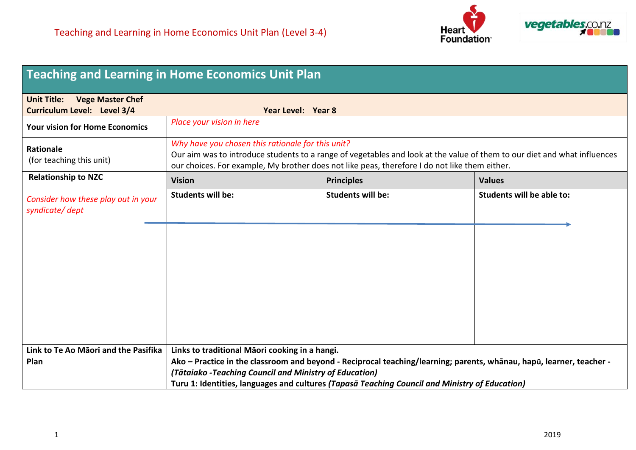

|                                                                                     | <b>Teaching and Learning in Home Economics Unit Plan</b>                                                                                                                                                                                                                       |                          |                                  |
|-------------------------------------------------------------------------------------|--------------------------------------------------------------------------------------------------------------------------------------------------------------------------------------------------------------------------------------------------------------------------------|--------------------------|----------------------------------|
| <b>Vege Master Chef</b><br><b>Unit Title:</b><br><b>Curriculum Level: Level 3/4</b> | Year Level: Year 8                                                                                                                                                                                                                                                             |                          |                                  |
| <b>Your vision for Home Economics</b>                                               | Place your vision in here                                                                                                                                                                                                                                                      |                          |                                  |
| <b>Rationale</b><br>(for teaching this unit)                                        | Why have you chosen this rationale for this unit?<br>Our aim was to introduce students to a range of vegetables and look at the value of them to our diet and what influences<br>our choices. For example, My brother does not like peas, therefore I do not like them either. |                          |                                  |
| <b>Relationship to NZC</b>                                                          | <b>Vision</b>                                                                                                                                                                                                                                                                  | <b>Principles</b>        | <b>Values</b>                    |
| Consider how these play out in your<br>syndicate/dept                               | <b>Students will be:</b>                                                                                                                                                                                                                                                       | <b>Students will be:</b> | <b>Students will be able to:</b> |
|                                                                                     |                                                                                                                                                                                                                                                                                |                          |                                  |
|                                                                                     |                                                                                                                                                                                                                                                                                |                          |                                  |
|                                                                                     |                                                                                                                                                                                                                                                                                |                          |                                  |
|                                                                                     |                                                                                                                                                                                                                                                                                |                          |                                  |
|                                                                                     |                                                                                                                                                                                                                                                                                |                          |                                  |
| Link to Te Ao Māori and the Pasifika                                                | Links to traditional Māori cooking in a hangi.                                                                                                                                                                                                                                 |                          |                                  |
| Plan                                                                                | Ako - Practice in the classroom and beyond - Reciprocal teaching/learning; parents, whānau, hapū, learner, teacher -                                                                                                                                                           |                          |                                  |
|                                                                                     | (Tātaiako -Teaching Council and Ministry of Education)                                                                                                                                                                                                                         |                          |                                  |
|                                                                                     | Turu 1: Identities, languages and cultures (Tapasa Teaching Council and Ministry of Education)                                                                                                                                                                                 |                          |                                  |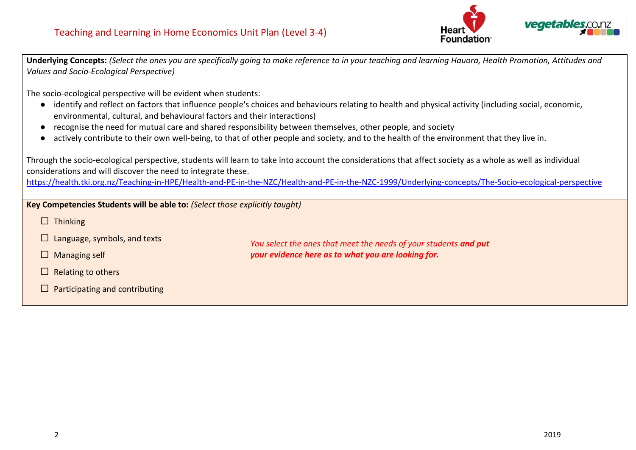

**Underlying Concepts:** *(Select the ones you are specifically going to make reference to in your teaching and learning Hauora, Health Promotion, Attitudes and Values and Socio-Ecological Perspective)*

The socio-ecological perspective will be evident when students:

- identify and reflect on factors that influence people's choices and behaviours relating to health and physical activity (including social, economic, environmental, cultural, and behavioural factors and their interactions)
- recognise the need for mutual care and shared responsibility between themselves, other people, and society
- actively contribute to their own well-being, to that of other people and society, and to the health of the environment that they live in.

| considerations and will discover the need to integrate these.                                                                                         | Through the socio-ecological perspective, students will learn to take into account the considerations that affect society as a whole as well as individual |  |  |
|-------------------------------------------------------------------------------------------------------------------------------------------------------|------------------------------------------------------------------------------------------------------------------------------------------------------------|--|--|
| https://health.tki.org.nz/Teaching-in-HPE/Health-and-PE-in-the-NZC/Health-and-PE-in-the-NZC-1999/Underlying-concepts/The-Socio-ecological-perspective |                                                                                                                                                            |  |  |
| Key Competencies Students will be able to: (Select those explicitly taught)                                                                           |                                                                                                                                                            |  |  |
| $\Box$ Thinking                                                                                                                                       |                                                                                                                                                            |  |  |
| Language, symbols, and texts                                                                                                                          | You select the ones that meet the needs of your students and put                                                                                           |  |  |
| Managing self<br>$\mathbf{L}$                                                                                                                         | your evidence here as to what you are looking for.                                                                                                         |  |  |
| Relating to others<br>L                                                                                                                               |                                                                                                                                                            |  |  |
| Participating and contributing                                                                                                                        |                                                                                                                                                            |  |  |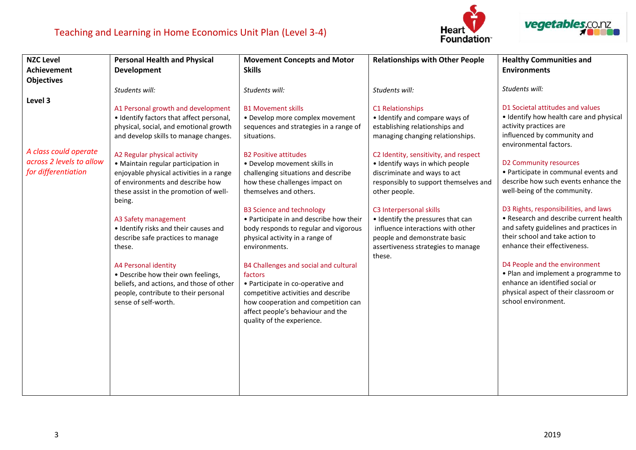





| <b>NZC Level</b>         | <b>Personal Health and Physical</b>      | <b>Movement Concepts and Motor</b>      | <b>Relationships with Other People</b>       | <b>Healthy Communities and</b>                                  |
|--------------------------|------------------------------------------|-----------------------------------------|----------------------------------------------|-----------------------------------------------------------------|
| <b>Achievement</b>       | <b>Development</b>                       | <b>Skills</b>                           |                                              | <b>Environments</b>                                             |
| <b>Objectives</b>        |                                          |                                         |                                              |                                                                 |
|                          | Students will:                           | Students will:                          | Students will:                               | Students will:                                                  |
| Level 3                  |                                          |                                         |                                              |                                                                 |
|                          | A1 Personal growth and development       | <b>B1 Movement skills</b>               | C1 Relationships                             | D1 Societal attitudes and values                                |
|                          | • Identify factors that affect personal, | • Develop more complex movement         | • Identify and compare ways of               | • Identify how health care and physical                         |
|                          | physical, social, and emotional growth   | sequences and strategies in a range of  | establishing relationships and               | activity practices are                                          |
|                          | and develop skills to manage changes.    | situations.                             | managing changing relationships.             | influenced by community and<br>environmental factors.           |
| A class could operate    | A2 Regular physical activity             | <b>B2 Positive attitudes</b>            | C2 Identity, sensitivity, and respect        |                                                                 |
| across 2 levels to allow | · Maintain regular participation in      | • Develop movement skills in            | · Identify ways in which people              | D2 Community resources                                          |
| for differentiation      | enjoyable physical activities in a range | challenging situations and describe     | discriminate and ways to act                 | • Participate in communal events and                            |
|                          | of environments and describe how         | how these challenges impact on          | responsibly to support themselves and        | describe how such events enhance the                            |
|                          | these assist in the promotion of well-   | themselves and others.                  | other people.                                | well-being of the community.                                    |
|                          | being.                                   |                                         |                                              |                                                                 |
|                          |                                          | <b>B3 Science and technology</b>        | C3 Interpersonal skills                      | D3 Rights, responsibilities, and laws                           |
|                          | A3 Safety management                     | • Participate in and describe how their | • Identify the pressures that can            | • Research and describe current health                          |
|                          | • Identify risks and their causes and    | body responds to regular and vigorous   | influence interactions with other            | and safety guidelines and practices in                          |
|                          | describe safe practices to manage        | physical activity in a range of         | people and demonstrate basic                 | their school and take action to<br>enhance their effectiveness. |
|                          | these.                                   | environments.                           | assertiveness strategies to manage<br>these. |                                                                 |
|                          | A4 Personal identity                     | B4 Challenges and social and cultural   |                                              | D4 People and the environment                                   |
|                          | • Describe how their own feelings,       | factors                                 |                                              | . Plan and implement a programme to                             |
|                          | beliefs, and actions, and those of other | • Participate in co-operative and       |                                              | enhance an identified social or                                 |
|                          | people, contribute to their personal     | competitive activities and describe     |                                              | physical aspect of their classroom or                           |
|                          | sense of self-worth.                     | how cooperation and competition can     |                                              | school environment.                                             |
|                          |                                          | affect people's behaviour and the       |                                              |                                                                 |
|                          |                                          | quality of the experience.              |                                              |                                                                 |
|                          |                                          |                                         |                                              |                                                                 |
|                          |                                          |                                         |                                              |                                                                 |
|                          |                                          |                                         |                                              |                                                                 |
|                          |                                          |                                         |                                              |                                                                 |
|                          |                                          |                                         |                                              |                                                                 |
|                          |                                          |                                         |                                              |                                                                 |
|                          |                                          |                                         |                                              |                                                                 |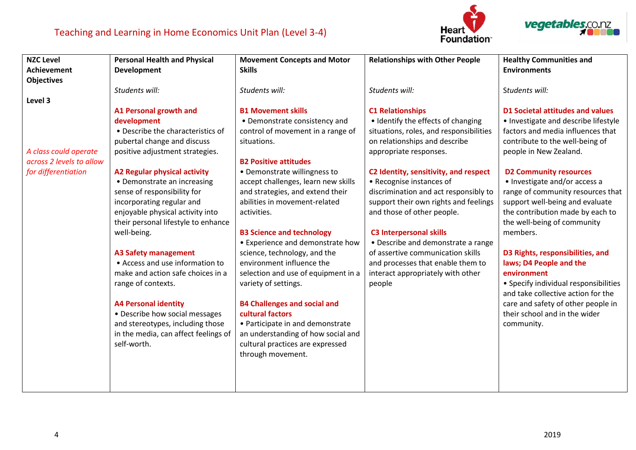





| <b>NZC Level</b>         | <b>Personal Health and Physical</b>  | <b>Movement Concepts and Motor</b>  | <b>Relationships with Other People</b>  | <b>Healthy Communities and</b>        |
|--------------------------|--------------------------------------|-------------------------------------|-----------------------------------------|---------------------------------------|
| <b>Achievement</b>       | <b>Development</b>                   | <b>Skills</b>                       |                                         | <b>Environments</b>                   |
| <b>Objectives</b>        |                                      |                                     |                                         |                                       |
|                          | Students will:                       | Students will:                      | Students will:                          | Students will:                        |
| Level 3                  |                                      |                                     |                                         |                                       |
|                          | A1 Personal growth and               | <b>B1 Movement skills</b>           | <b>C1 Relationships</b>                 | D1 Societal attitudes and values      |
|                          | development                          | • Demonstrate consistency and       | • Identify the effects of changing      | • Investigate and describe lifestyle  |
|                          | • Describe the characteristics of    | control of movement in a range of   | situations, roles, and responsibilities | factors and media influences that     |
|                          | pubertal change and discuss          | situations.                         | on relationships and describe           | contribute to the well-being of       |
| A class could operate    | positive adjustment strategies.      |                                     | appropriate responses.                  | people in New Zealand.                |
| across 2 levels to allow |                                      | <b>B2 Positive attitudes</b>        |                                         |                                       |
| for differentiation      | <b>A2 Regular physical activity</b>  | • Demonstrate willingness to        | C2 Identity, sensitivity, and respect   | <b>D2 Community resources</b>         |
|                          | • Demonstrate an increasing          | accept challenges, learn new skills | • Recognise instances of                | • Investigate and/or access a         |
|                          | sense of responsibility for          | and strategies, and extend their    | discrimination and act responsibly to   | range of community resources that     |
|                          | incorporating regular and            | abilities in movement-related       | support their own rights and feelings   | support well-being and evaluate       |
|                          | enjoyable physical activity into     | activities.                         | and those of other people.              | the contribution made by each to      |
|                          | their personal lifestyle to enhance  |                                     |                                         | the well-being of community           |
|                          | well-being.                          | <b>B3 Science and technology</b>    | <b>C3 Interpersonal skills</b>          | members.                              |
|                          |                                      | • Experience and demonstrate how    | • Describe and demonstrate a range      |                                       |
|                          | <b>A3 Safety management</b>          | science, technology, and the        | of assertive communication skills       | D3 Rights, responsibilities, and      |
|                          | • Access and use information to      | environment influence the           | and processes that enable them to       | laws; D4 People and the               |
|                          | make and action safe choices in a    | selection and use of equipment in a | interact appropriately with other       | environment                           |
|                          | range of contexts.                   | variety of settings.                | people                                  | • Specify individual responsibilities |
|                          |                                      |                                     |                                         | and take collective action for the    |
|                          | <b>A4 Personal identity</b>          | <b>B4 Challenges and social and</b> |                                         | care and safety of other people in    |
|                          | • Describe how social messages       | cultural factors                    |                                         | their school and in the wider         |
|                          | and stereotypes, including those     | • Participate in and demonstrate    |                                         | community.                            |
|                          | in the media, can affect feelings of | an understanding of how social and  |                                         |                                       |
|                          | self-worth.                          | cultural practices are expressed    |                                         |                                       |
|                          |                                      | through movement.                   |                                         |                                       |
|                          |                                      |                                     |                                         |                                       |
|                          |                                      |                                     |                                         |                                       |
|                          |                                      |                                     |                                         |                                       |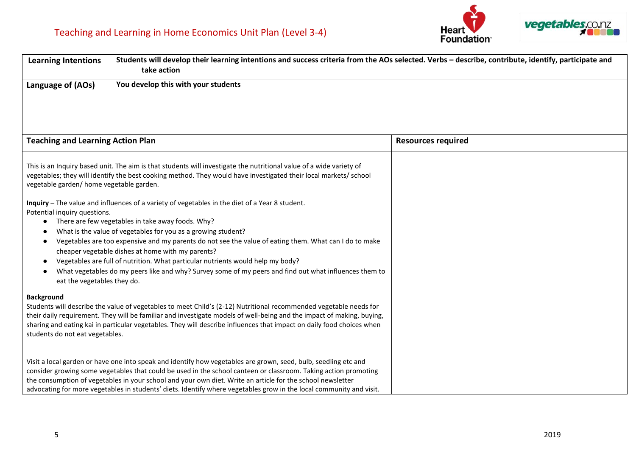

| <b>Learning Intentions</b>                                                                         | Students will develop their learning intentions and success criteria from the AOs selected. Verbs - describe, contribute, identify, participate and<br>take action<br>You develop this with your students                                                                                                                                                                                                                                                                                                                                                                          |                           |  |
|----------------------------------------------------------------------------------------------------|------------------------------------------------------------------------------------------------------------------------------------------------------------------------------------------------------------------------------------------------------------------------------------------------------------------------------------------------------------------------------------------------------------------------------------------------------------------------------------------------------------------------------------------------------------------------------------|---------------------------|--|
| Language of (AOs)                                                                                  |                                                                                                                                                                                                                                                                                                                                                                                                                                                                                                                                                                                    |                           |  |
| <b>Teaching and Learning Action Plan</b>                                                           |                                                                                                                                                                                                                                                                                                                                                                                                                                                                                                                                                                                    | <b>Resources required</b> |  |
| vegetable garden/ home vegetable garden.                                                           | This is an Inquiry based unit. The aim is that students will investigate the nutritional value of a wide variety of<br>vegetables; they will identify the best cooking method. They would have investigated their local markets/school                                                                                                                                                                                                                                                                                                                                             |                           |  |
| Potential inquiry questions.<br>$\bullet$<br>$\bullet$<br>$\bullet$<br>eat the vegetables they do. | Inquiry - The value and influences of a variety of vegetables in the diet of a Year 8 student.<br>• There are few vegetables in take away foods. Why?<br>What is the value of vegetables for you as a growing student?<br>Vegetables are too expensive and my parents do not see the value of eating them. What can I do to make<br>cheaper vegetable dishes at home with my parents?<br>Vegetables are full of nutrition. What particular nutrients would help my body?<br>What vegetables do my peers like and why? Survey some of my peers and find out what influences them to |                           |  |
| <b>Background</b><br>students do not eat vegetables.                                               | Students will describe the value of vegetables to meet Child's (2-12) Nutritional recommended vegetable needs for<br>their daily requirement. They will be familiar and investigate models of well-being and the impact of making, buying,<br>sharing and eating kai in particular vegetables. They will describe influences that impact on daily food choices when                                                                                                                                                                                                                |                           |  |
|                                                                                                    | Visit a local garden or have one into speak and identify how vegetables are grown, seed, bulb, seedling etc and<br>consider growing some vegetables that could be used in the school canteen or classroom. Taking action promoting<br>the consumption of vegetables in your school and your own diet. Write an article for the school newsletter<br>advocating for more vegetables in students' diets. Identify where vegetables grow in the local community and visit.                                                                                                            |                           |  |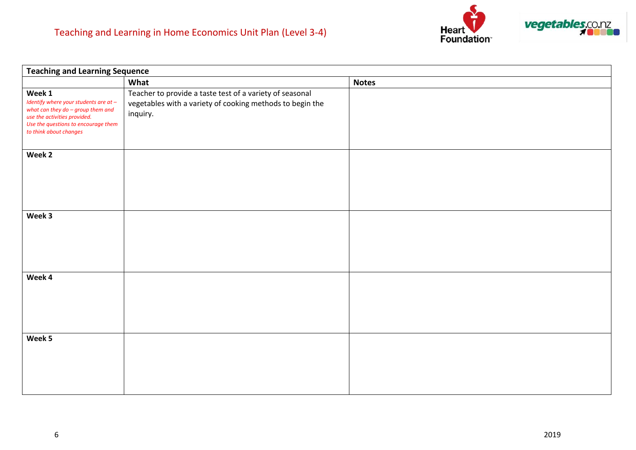

| <b>Teaching and Learning Sequence</b>                                                                                                                                                   |                                                                                                                                   |              |  |
|-----------------------------------------------------------------------------------------------------------------------------------------------------------------------------------------|-----------------------------------------------------------------------------------------------------------------------------------|--------------|--|
|                                                                                                                                                                                         | What                                                                                                                              | <b>Notes</b> |  |
| Week 1<br>Identify where your students are at -<br>what can they do $-$ group them and<br>use the activities provided.<br>Use the questions to encourage them<br>to think about changes | Teacher to provide a taste test of a variety of seasonal<br>vegetables with a variety of cooking methods to begin the<br>inquiry. |              |  |
| Week 2                                                                                                                                                                                  |                                                                                                                                   |              |  |
| Week 3                                                                                                                                                                                  |                                                                                                                                   |              |  |
| Week 4                                                                                                                                                                                  |                                                                                                                                   |              |  |
| Week 5                                                                                                                                                                                  |                                                                                                                                   |              |  |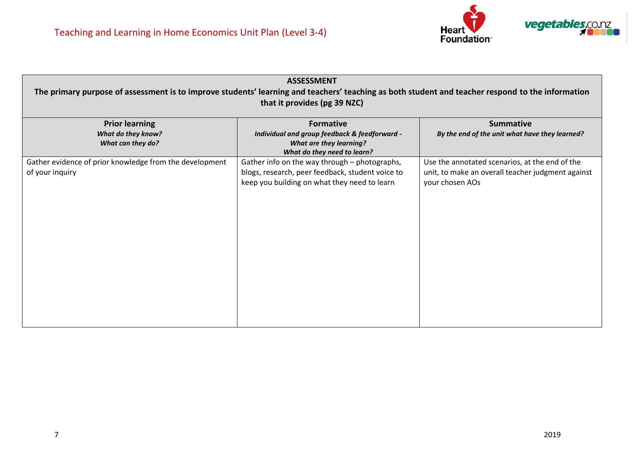

| <b>ASSESSMENT</b><br>The primary purpose of assessment is to improve students' learning and teachers' teaching as both student and teacher respond to the information<br>that it provides (pg 39 NZC) |                                                                                                                                                   |                                                                                                                        |  |  |
|-------------------------------------------------------------------------------------------------------------------------------------------------------------------------------------------------------|---------------------------------------------------------------------------------------------------------------------------------------------------|------------------------------------------------------------------------------------------------------------------------|--|--|
| <b>Prior learning</b><br><b>What do they know?</b><br>What can they do?                                                                                                                               | <b>Formative</b><br>Individual and group feedback & feedforward -<br><b>What are they learning?</b><br>What do they need to learn?                | <b>Summative</b><br>By the end of the unit what have they learned?                                                     |  |  |
| Gather evidence of prior knowledge from the development<br>of your inquiry                                                                                                                            | Gather info on the way through - photographs,<br>blogs, research, peer feedback, student voice to<br>keep you building on what they need to learn | Use the annotated scenarios, at the end of the<br>unit, to make an overall teacher judgment against<br>your chosen AOs |  |  |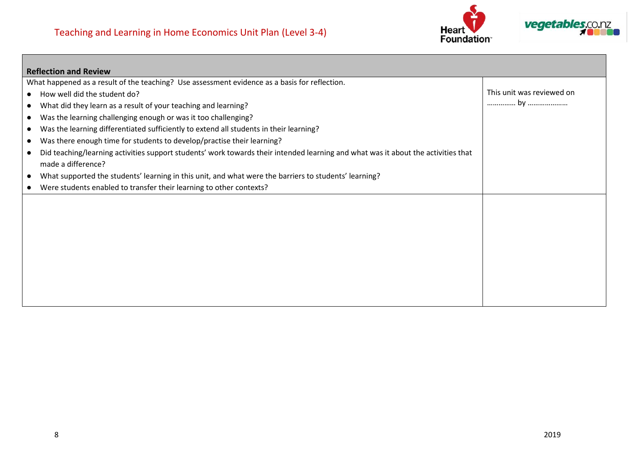

| <b>Reflection and Review</b>                                                                                                      |                           |
|-----------------------------------------------------------------------------------------------------------------------------------|---------------------------|
| What happened as a result of the teaching? Use assessment evidence as a basis for reflection.                                     |                           |
| How well did the student do?                                                                                                      | This unit was reviewed on |
| What did they learn as a result of your teaching and learning?<br>$\bullet$                                                       |                           |
| Was the learning challenging enough or was it too challenging?<br>$\bullet$                                                       |                           |
| Was the learning differentiated sufficiently to extend all students in their learning?<br>$\bullet$                               |                           |
| Was there enough time for students to develop/practise their learning?<br>$\bullet$                                               |                           |
| Did teaching/learning activities support students' work towards their intended learning and what was it about the activities that |                           |
| made a difference?                                                                                                                |                           |
| What supported the students' learning in this unit, and what were the barriers to students' learning?                             |                           |
| Were students enabled to transfer their learning to other contexts?<br>$\bullet$                                                  |                           |
|                                                                                                                                   |                           |
|                                                                                                                                   |                           |
|                                                                                                                                   |                           |
|                                                                                                                                   |                           |
|                                                                                                                                   |                           |
|                                                                                                                                   |                           |
|                                                                                                                                   |                           |
|                                                                                                                                   |                           |
|                                                                                                                                   |                           |
|                                                                                                                                   |                           |